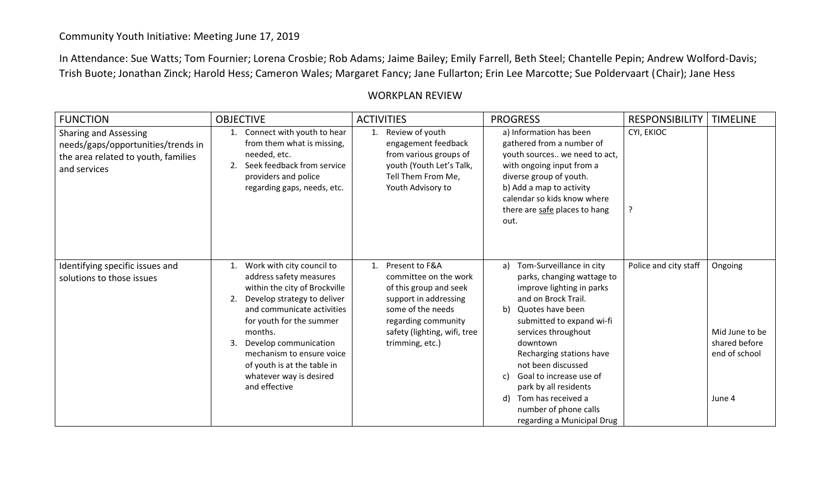## Community Youth Initiative: Meeting June 17, 2019

In Attendance: Sue Watts; Tom Fournier; Lorena Crosbie; Rob Adams; Jaime Bailey; Emily Farrell, Beth Steel; Chantelle Pepin; Andrew Wolford-Davis; Trish Buote; Jonathan Zinck; Harold Hess; Cameron Wales; Margaret Fancy; Jane Fullarton; Erin Lee Marcotte; Sue Poldervaart (Chair); Jane Hess

## WORKPLAN REVIEW

| <b>FUNCTION</b>                                                                                                           | <b>OBJECTIVE</b>                                                                                                                                                                                                                                                                                                                             | <b>ACTIVITIES</b>                                                                                                                                                                               | <b>PROGRESS</b>                                                                                                                                                                                                                                                                                                                                                                                           | <b>RESPONSIBILITY</b> | <b>TIMELINE</b>                                                       |
|---------------------------------------------------------------------------------------------------------------------------|----------------------------------------------------------------------------------------------------------------------------------------------------------------------------------------------------------------------------------------------------------------------------------------------------------------------------------------------|-------------------------------------------------------------------------------------------------------------------------------------------------------------------------------------------------|-----------------------------------------------------------------------------------------------------------------------------------------------------------------------------------------------------------------------------------------------------------------------------------------------------------------------------------------------------------------------------------------------------------|-----------------------|-----------------------------------------------------------------------|
| <b>Sharing and Assessing</b><br>needs/gaps/opportunities/trends in<br>the area related to youth, families<br>and services | Connect with youth to hear<br>from them what is missing,<br>needed, etc.<br>Seek feedback from service<br>2.<br>providers and police<br>regarding gaps, needs, etc.                                                                                                                                                                          | Review of youth<br>1.<br>engagement feedback<br>from various groups of<br>youth (Youth Let's Talk,<br>Tell Them From Me,<br>Youth Advisory to                                                   | a) Information has been<br>gathered from a number of<br>youth sources we need to act,<br>with ongoing input from a<br>diverse group of youth.<br>b) Add a map to activity<br>calendar so kids know where<br>there are safe places to hang<br>out.                                                                                                                                                         | CYI, EKIOC            |                                                                       |
| Identifying specific issues and<br>solutions to those issues                                                              | Work with city council to<br>1.<br>address safety measures<br>within the city of Brockville<br>Develop strategy to deliver<br>2.<br>and communicate activities<br>for youth for the summer<br>months.<br>Develop communication<br>3.<br>mechanism to ensure voice<br>of youth is at the table in<br>whatever way is desired<br>and effective | Present to F&A<br>1.<br>committee on the work<br>of this group and seek<br>support in addressing<br>some of the needs<br>regarding community<br>safety (lighting, wifi, tree<br>trimming, etc.) | Tom-Surveillance in city<br>a)<br>parks, changing wattage to<br>improve lighting in parks<br>and on Brock Trail.<br>Quotes have been<br>b)<br>submitted to expand wi-fi<br>services throughout<br>downtown<br>Recharging stations have<br>not been discussed<br>Goal to increase use of<br>c)<br>park by all residents<br>Tom has received a<br>d)<br>number of phone calls<br>regarding a Municipal Drug | Police and city staff | Ongoing<br>Mid June to be<br>shared before<br>end of school<br>June 4 |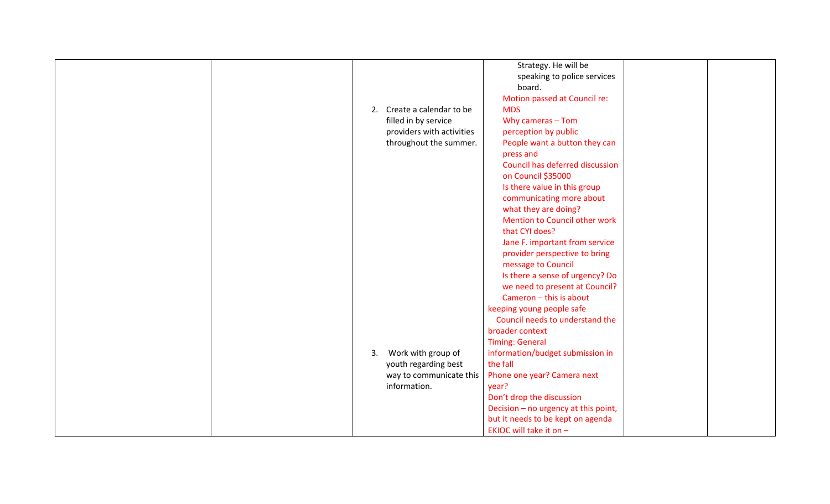|  |    |                           | Strategy. He will be                 |  |
|--|----|---------------------------|--------------------------------------|--|
|  |    |                           |                                      |  |
|  |    |                           | speaking to police services          |  |
|  |    |                           | board.                               |  |
|  |    |                           | Motion passed at Council re:         |  |
|  | 2. | Create a calendar to be   | <b>MDS</b>                           |  |
|  |    | filled in by service      | Why cameras $-$ Tom                  |  |
|  |    | providers with activities | perception by public                 |  |
|  |    | throughout the summer.    | People want a button they can        |  |
|  |    |                           | press and                            |  |
|  |    |                           | Council has deferred discussion      |  |
|  |    |                           | on Council \$35000                   |  |
|  |    |                           | Is there value in this group         |  |
|  |    |                           | communicating more about             |  |
|  |    |                           | what they are doing?                 |  |
|  |    |                           | Mention to Council other work        |  |
|  |    |                           | that CYI does?                       |  |
|  |    |                           | Jane F. important from service       |  |
|  |    |                           | provider perspective to bring        |  |
|  |    |                           | message to Council                   |  |
|  |    |                           | Is there a sense of urgency? Do      |  |
|  |    |                           | we need to present at Council?       |  |
|  |    |                           | Cameron - this is about              |  |
|  |    |                           | keeping young people safe            |  |
|  |    |                           | Council needs to understand the      |  |
|  |    |                           | broader context                      |  |
|  |    |                           | <b>Timing: General</b>               |  |
|  | 3. | Work with group of        | information/budget submission in     |  |
|  |    | youth regarding best      | the fall                             |  |
|  |    | way to communicate this   | Phone one year? Camera next          |  |
|  |    | information.              | year?                                |  |
|  |    |                           | Don't drop the discussion            |  |
|  |    |                           | Decision - no urgency at this point, |  |
|  |    |                           | but it needs to be kept on agenda    |  |
|  |    |                           | EKIOC will take it on -              |  |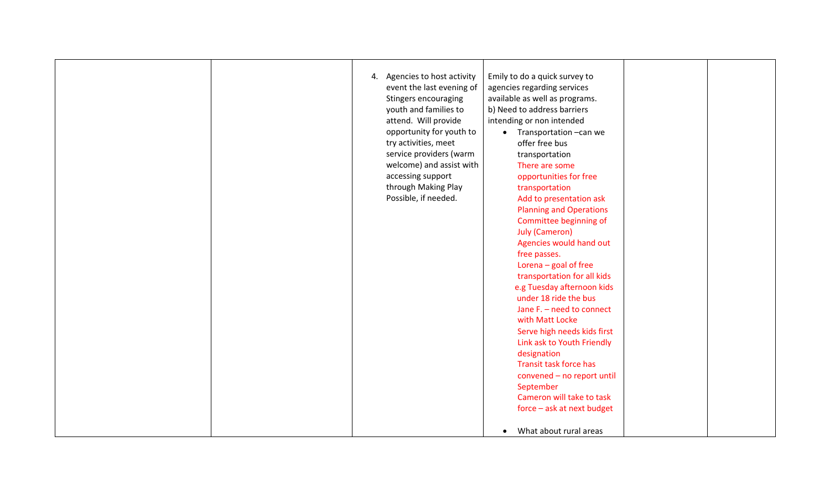|  | 4. Agencies to host activity<br>event the last evening of<br>Stingers encouraging<br>youth and families to<br>attend. Will provide<br>opportunity for youth to<br>try activities, meet<br>service providers (warm<br>welcome) and assist with<br>accessing support<br>through Making Play<br>Possible, if needed. | Emily to do a quick survey to<br>agencies regarding services<br>available as well as programs.<br>b) Need to address barriers<br>intending or non intended<br>Transportation - can we<br>$\bullet$<br>offer free bus<br>transportation<br>There are some<br>opportunities for free<br>transportation<br>Add to presentation ask<br><b>Planning and Operations</b><br>Committee beginning of<br><b>July (Cameron)</b><br>Agencies would hand out<br>free passes.<br>Lorena - goal of free<br>transportation for all kids<br>e.g Tuesday afternoon kids<br>under 18 ride the bus<br>Jane F. - need to connect<br>with Matt Locke<br>Serve high needs kids first<br>Link ask to Youth Friendly<br>designation<br>Transit task force has<br>convened - no report until<br>September<br>Cameron will take to task<br>force - ask at next budget<br>What about rural areas<br>$\bullet$ |  |
|--|-------------------------------------------------------------------------------------------------------------------------------------------------------------------------------------------------------------------------------------------------------------------------------------------------------------------|-----------------------------------------------------------------------------------------------------------------------------------------------------------------------------------------------------------------------------------------------------------------------------------------------------------------------------------------------------------------------------------------------------------------------------------------------------------------------------------------------------------------------------------------------------------------------------------------------------------------------------------------------------------------------------------------------------------------------------------------------------------------------------------------------------------------------------------------------------------------------------------|--|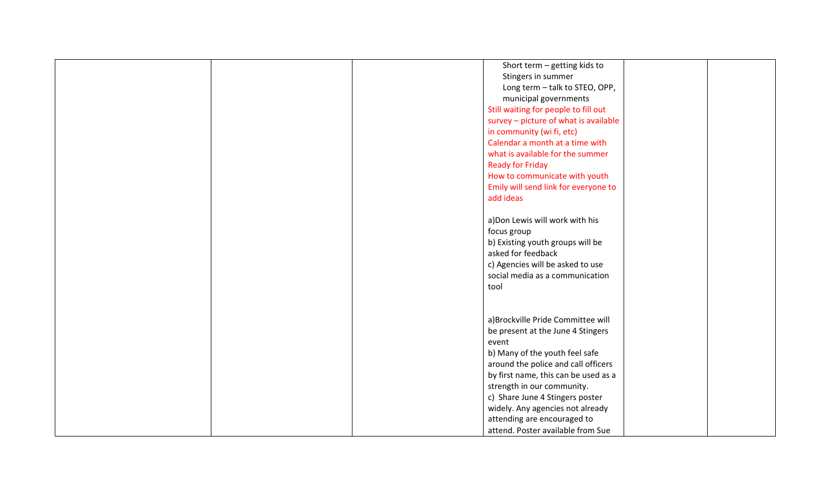|  | Short term - getting kids to          |  |
|--|---------------------------------------|--|
|  | Stingers in summer                    |  |
|  | Long term - talk to STEO, OPP,        |  |
|  | municipal governments                 |  |
|  | Still waiting for people to fill out  |  |
|  | survey - picture of what is available |  |
|  | in community (wi fi, etc)             |  |
|  | Calendar a month at a time with       |  |
|  | what is available for the summer      |  |
|  | <b>Ready for Friday</b>               |  |
|  | How to communicate with youth         |  |
|  | Emily will send link for everyone to  |  |
|  | add ideas                             |  |
|  |                                       |  |
|  | a) Don Lewis will work with his       |  |
|  | focus group                           |  |
|  | b) Existing youth groups will be      |  |
|  | asked for feedback                    |  |
|  |                                       |  |
|  | c) Agencies will be asked to use      |  |
|  | social media as a communication       |  |
|  | tool                                  |  |
|  |                                       |  |
|  |                                       |  |
|  | a) Brockville Pride Committee will    |  |
|  | be present at the June 4 Stingers     |  |
|  | event                                 |  |
|  | b) Many of the youth feel safe        |  |
|  | around the police and call officers   |  |
|  | by first name, this can be used as a  |  |
|  | strength in our community.            |  |
|  | c) Share June 4 Stingers poster       |  |
|  | widely. Any agencies not already      |  |
|  | attending are encouraged to           |  |
|  | attend. Poster available from Sue     |  |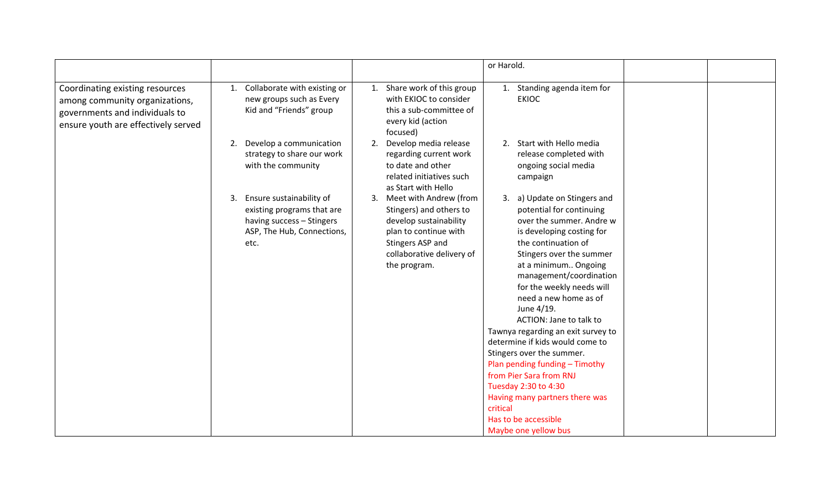|                                                                                                                                            |                                                                                                                                 | or Harold.                                                                                                                                                                                                                                                                                                                                                                                                                                                                                                                                                                                                                                                                                                                                                                                     |  |
|--------------------------------------------------------------------------------------------------------------------------------------------|---------------------------------------------------------------------------------------------------------------------------------|------------------------------------------------------------------------------------------------------------------------------------------------------------------------------------------------------------------------------------------------------------------------------------------------------------------------------------------------------------------------------------------------------------------------------------------------------------------------------------------------------------------------------------------------------------------------------------------------------------------------------------------------------------------------------------------------------------------------------------------------------------------------------------------------|--|
| Coordinating existing resources<br>among community organizations,<br>governments and individuals to<br>ensure youth are effectively served | Collaborate with existing or<br>1.<br>new groups such as Every<br>Kid and "Friends" group                                       | Share work of this group<br>1. Standing agenda item for<br>1.<br>with EKIOC to consider<br><b>EKIOC</b><br>this a sub-committee of<br>every kid (action<br>focused)                                                                                                                                                                                                                                                                                                                                                                                                                                                                                                                                                                                                                            |  |
|                                                                                                                                            | Develop a communication<br>2.<br>strategy to share our work<br>with the community                                               | Develop media release<br>2. Start with Hello media<br>2.<br>regarding current work<br>release completed with<br>to date and other<br>ongoing social media<br>related initiatives such<br>campaign<br>as Start with Hello                                                                                                                                                                                                                                                                                                                                                                                                                                                                                                                                                                       |  |
|                                                                                                                                            | Ensure sustainability of<br>3.<br>existing programs that are<br>having success - Stingers<br>ASP, The Hub, Connections,<br>etc. | Meet with Andrew (from<br>3. a) Update on Stingers and<br>3.<br>potential for continuing<br>Stingers) and others to<br>develop sustainability<br>over the summer. Andre w<br>plan to continue with<br>is developing costing for<br>the continuation of<br>Stingers ASP and<br>collaborative delivery of<br>Stingers over the summer<br>at a minimum Ongoing<br>the program.<br>management/coordination<br>for the weekly needs will<br>need a new home as of<br>June 4/19.<br>ACTION: Jane to talk to<br>Tawnya regarding an exit survey to<br>determine if kids would come to<br>Stingers over the summer.<br>Plan pending funding - Timothy<br>from Pier Sara from RNJ<br>Tuesday 2:30 to 4:30<br>Having many partners there was<br>critical<br>Has to be accessible<br>Maybe one yellow bus |  |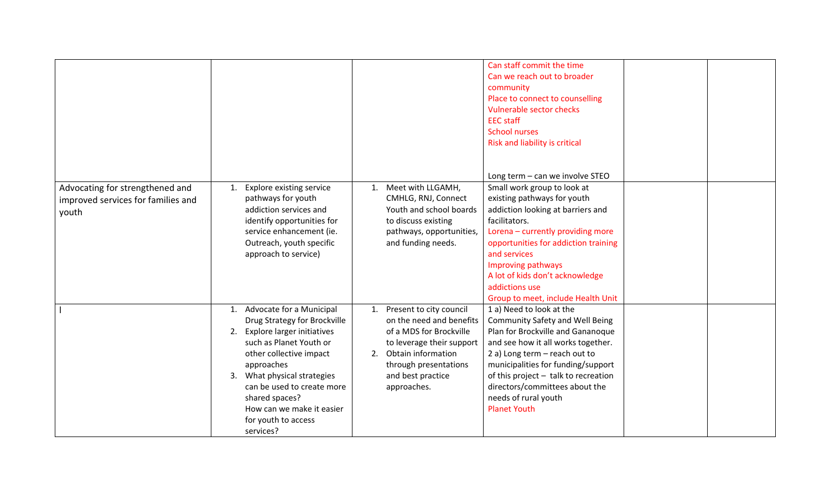|                                                                                |                                                                                                                                                                                                                                                                                                                     |                                                                                                                                                                                                         | Can staff commit the time<br>Can we reach out to broader<br>community<br>Place to connect to counselling<br>Vulnerable sector checks<br><b>EEC</b> staff<br><b>School nurses</b><br>Risk and liability is critical<br>Long term - can we involve STEO                                                                                         |  |
|--------------------------------------------------------------------------------|---------------------------------------------------------------------------------------------------------------------------------------------------------------------------------------------------------------------------------------------------------------------------------------------------------------------|---------------------------------------------------------------------------------------------------------------------------------------------------------------------------------------------------------|-----------------------------------------------------------------------------------------------------------------------------------------------------------------------------------------------------------------------------------------------------------------------------------------------------------------------------------------------|--|
| Advocating for strengthened and<br>improved services for families and<br>youth | <b>Explore existing service</b><br>1.<br>pathways for youth<br>addiction services and<br>identify opportunities for<br>service enhancement (ie.<br>Outreach, youth specific<br>approach to service)                                                                                                                 | Meet with LLGAMH,<br>1.<br>CMHLG, RNJ, Connect<br>Youth and school boards<br>to discuss existing<br>pathways, opportunities,<br>and funding needs.                                                      | Small work group to look at<br>existing pathways for youth<br>addiction looking at barriers and<br>facilitators.<br>Lorena - currently providing more<br>opportunities for addiction training<br>and services<br>Improving pathways<br>A lot of kids don't acknowledge<br>addictions use<br>Group to meet, include Health Unit                |  |
|                                                                                | Advocate for a Municipal<br>1.<br>Drug Strategy for Brockville<br>2. Explore larger initiatives<br>such as Planet Youth or<br>other collective impact<br>approaches<br>3. What physical strategies<br>can be used to create more<br>shared spaces?<br>How can we make it easier<br>for youth to access<br>services? | 1. Present to city council<br>on the need and benefits<br>of a MDS for Brockville<br>to leverage their support<br>Obtain information<br>2.<br>through presentations<br>and best practice<br>approaches. | 1 a) Need to look at the<br><b>Community Safety and Well Being</b><br>Plan for Brockville and Gananoque<br>and see how it all works together.<br>2 a) Long term - reach out to<br>municipalities for funding/support<br>of this project - talk to recreation<br>directors/committees about the<br>needs of rural youth<br><b>Planet Youth</b> |  |